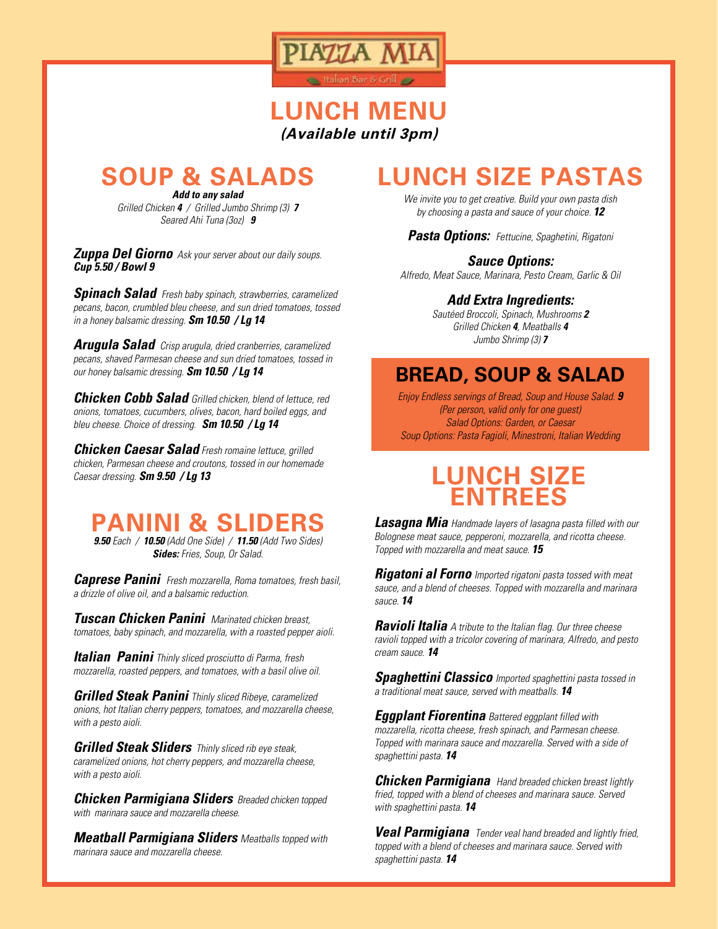

## **LUNCH MENU (Available until 3pm)**

**SOUP & SALADS**

*Add to any salad Grilled Chicken 4 / Grilled Jumbo Shrimp (3) 7 Seared Ahi Tuna (3oz) 9*

*Zuppa Del Giorno Ask your server about our daily soups. Cup 5.50 / Bowl 9* 

*Spinach Salad Fresh baby spinach, strawberries, caramelized pecans, bacon, crumbled bleu cheese, and sun dried tomatoes, tossed in a honey balsamic dressing. Sm 10.50 / Lg 14*

*Arugula Salad Crisp arugula, dried cranberries, caramelized pecans, shaved Parmesan cheese and sun dried tomatoes, tossed in our honey balsamic dressing. Sm 10.50 / Lg 14*

*Chicken Cobb Salad Grilled chicken, blend of lettuce, red onions, tomatoes, cucumbers, olives, bacon, hard boiled eggs, and bleu cheese. Choice of dressing. Sm 10.50 / Lg 14*

*Chicken Caesar Salad Fresh romaine lettuce, grilled chicken, Parmesan cheese and croutons, tossed in our homemade Caesar dressing. Sm 9.50 / Lg 13* 

## **PANINI & SLIDERS**

*9.50 Each / 10.50 (Add One Side) / 11.50 (Add Two Sides) Sides: Fries, Soup, Or Salad.*

*Caprese Panini Fresh mozzarella, Roma tomatoes, fresh basil, a drizzle of olive oil, and a balsamic reduction.* 

*Tuscan Chicken Panini Marinated chicken breast, tomatoes, baby spinach, and mozzarella, with a roasted pepper aioli.* 

*Italian Panini Thinly sliced prosciutto di Parma, fresh mozzarella, roasted peppers, and tomatoes, with a basil olive oil.* 

*Grilled Steak Panini Thinly sliced Ribeye, caramelized onions, hot Italian cherry peppers, tomatoes, and mozzarella cheese, with a pesto aioli.* 

*Grilled Steak Sliders Thinly sliced rib eye steak, caramelized onions, hot cherry peppers, and mozzarella cheese, with a pesto aioli.* 

*Chicken Parmigiana Sliders Breaded chicken topped with marinara sauce and mozzarella cheese.* 

*Meatball Parmigiana Sliders Meatballs topped with marinara sauce and mozzarella cheese.*

# **LUNCH SIZE PASTAS**

*We invite you to get creative. Build your own pasta dish by choosing a pasta and sauce of your choice. 12*

*Pasta Options: Fettucine, Spaghetini, Rigatoni*

#### *Sauce Options:*

*Alfredo, Meat Sauce, Marinara, Pesto Cream, Garlic & Oil*

#### *Add Extra Ingredients:*

*Sautéed Broccoli, Spinach, Mushrooms 2 Grilled Chicken 4, Meatballs 4 Jumbo Shrimp (3) 7*

### **BREAD, SOUP & SALAD**

*Enjoy Endless servings of Bread, Soup and House Salad. 9 (Per person, valid only for one guest) Salad Options: Garden, or Caesar Soup Options: Pasta Fagioli, Minestroni, Italian Wedding*

## **LUNCH SIZE ENTREES**

*Lasagna Mia Handmade layers of lasagna pasta filled with our Bolognese meat sauce, pepperoni, mozzarella, and ricotta cheese. Topped with mozzarella and meat sauce. 15*

*Rigatoni al Forno Imported rigatoni pasta tossed with meat sauce, and a blend of cheeses. Topped with mozzarella and marinara sauce. 14*

*Ravioli Italia A tribute to the Italian flag. Our three cheese ravioli topped with a tricolor covering of marinara, Alfredo, and pesto cream sauce. 14*

*Spaghettini Classico Imported spaghettini pasta tossed in a traditional meat sauce, served with meatballs. 14* 

*Eggplant Fiorentina Battered eggplant filled with mozzarella, ricotta cheese, fresh spinach, and Parmesan cheese. Topped with marinara sauce and mozzarella. Served with a side of spaghettini pasta. 14*

*Chicken Parmigiana Hand breaded chicken breast lightly fried, topped with a blend of cheeses and marinara sauce. Served with spaghettini pasta. 14*

*Veal Parmigiana Tender veal hand breaded and lightly fried, topped with a blend of cheeses and marinara sauce. Served with spaghettini pasta. 14*